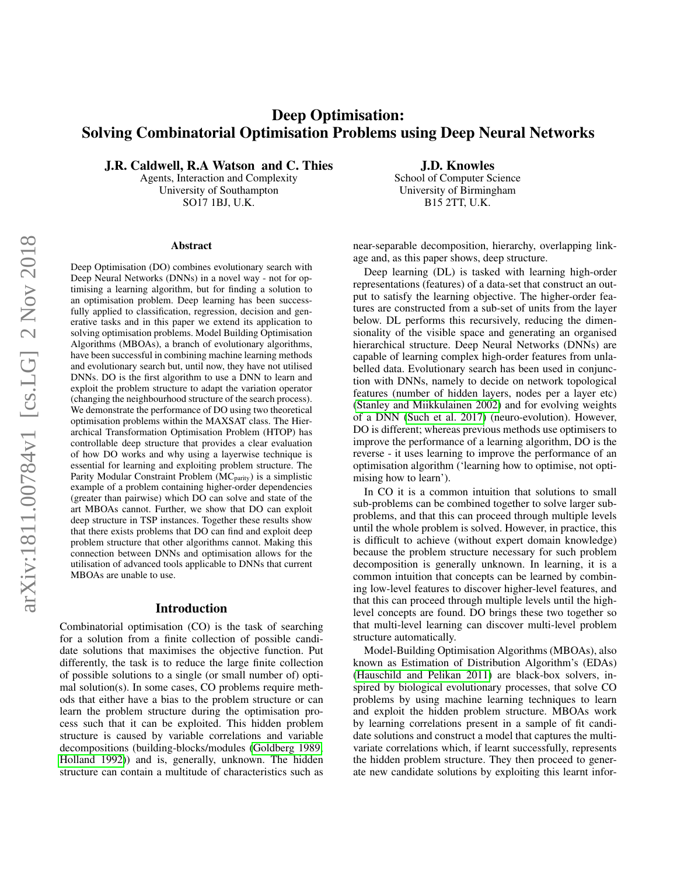# Deep Optimisation: Solving Combinatorial Optimisation Problems using Deep Neural Networks

J.R. Caldwell, R.A Watson and C. Thies

Agents, Interaction and Complexity University of Southampton SO17 1BJ, U.K.

#### Abstract

Deep Optimisation (DO) combines evolutionary search with Deep Neural Networks (DNNs) in a novel way - not for optimising a learning algorithm, but for finding a solution to an optimisation problem. Deep learning has been successfully applied to classification, regression, decision and generative tasks and in this paper we extend its application to solving optimisation problems. Model Building Optimisation Algorithms (MBOAs), a branch of evolutionary algorithms, have been successful in combining machine learning methods and evolutionary search but, until now, they have not utilised DNNs. DO is the first algorithm to use a DNN to learn and exploit the problem structure to adapt the variation operator (changing the neighbourhood structure of the search process). We demonstrate the performance of DO using two theoretical optimisation problems within the MAXSAT class. The Hierarchical Transformation Optimisation Problem (HTOP) has controllable deep structure that provides a clear evaluation of how DO works and why using a layerwise technique is essential for learning and exploiting problem structure. The Parity Modular Constraint Problem  $(MC<sub>parity</sub>)$  is a simplistic example of a problem containing higher-order dependencies (greater than pairwise) which DO can solve and state of the art MBOAs cannot. Further, we show that DO can exploit deep structure in TSP instances. Together these results show that there exists problems that DO can find and exploit deep problem structure that other algorithms cannot. Making this connection between DNNs and optimisation allows for the utilisation of advanced tools applicable to DNNs that current MBOAs are unable to use.

### Introduction

Combinatorial optimisation (CO) is the task of searching for a solution from a finite collection of possible candidate solutions that maximises the objective function. Put differently, the task is to reduce the large finite collection of possible solutions to a single (or small number of) optimal solution(s). In some cases, CO problems require methods that either have a bias to the problem structure or can learn the problem structure during the optimisation process such that it can be exploited. This hidden problem structure is caused by variable correlations and variable decompositions (building-blocks/modules [\(Goldberg 1989;](#page-7-0) [Holland 1992\)](#page-7-1)) and is, generally, unknown. The hidden structure can contain a multitude of characteristics such as

J.D. Knowles School of Computer Science University of Birmingham B15 2TT, U.K.

near-separable decomposition, hierarchy, overlapping linkage and, as this paper shows, deep structure.

Deep learning (DL) is tasked with learning high-order representations (features) of a data-set that construct an output to satisfy the learning objective. The higher-order features are constructed from a sub-set of units from the layer below. DL performs this recursively, reducing the dimensionality of the visible space and generating an organised hierarchical structure. Deep Neural Networks (DNNs) are capable of learning complex high-order features from unlabelled data. Evolutionary search has been used in conjunction with DNNs, namely to decide on network topological features (number of hidden layers, nodes per a layer etc) [\(Stanley and Miikkulainen 2002\)](#page-7-2) and for evolving weights of a DNN [\(Such et al. 2017\)](#page-7-3) (neuro-evolution). However, DO is different; whereas previous methods use optimisers to improve the performance of a learning algorithm, DO is the reverse - it uses learning to improve the performance of an optimisation algorithm ('learning how to optimise, not optimising how to learn').

In CO it is a common intuition that solutions to small sub-problems can be combined together to solve larger subproblems, and that this can proceed through multiple levels until the whole problem is solved. However, in practice, this is difficult to achieve (without expert domain knowledge) because the problem structure necessary for such problem decomposition is generally unknown. In learning, it is a common intuition that concepts can be learned by combining low-level features to discover higher-level features, and that this can proceed through multiple levels until the highlevel concepts are found. DO brings these two together so that multi-level learning can discover multi-level problem structure automatically.

Model-Building Optimisation Algorithms (MBOAs), also known as Estimation of Distribution Algorithm's (EDAs) [\(Hauschild and Pelikan 2011\)](#page-7-4) are black-box solvers, inspired by biological evolutionary processes, that solve CO problems by using machine learning techniques to learn and exploit the hidden problem structure. MBOAs work by learning correlations present in a sample of fit candidate solutions and construct a model that captures the multivariate correlations which, if learnt successfully, represents the hidden problem structure. They then proceed to generate new candidate solutions by exploiting this learnt infor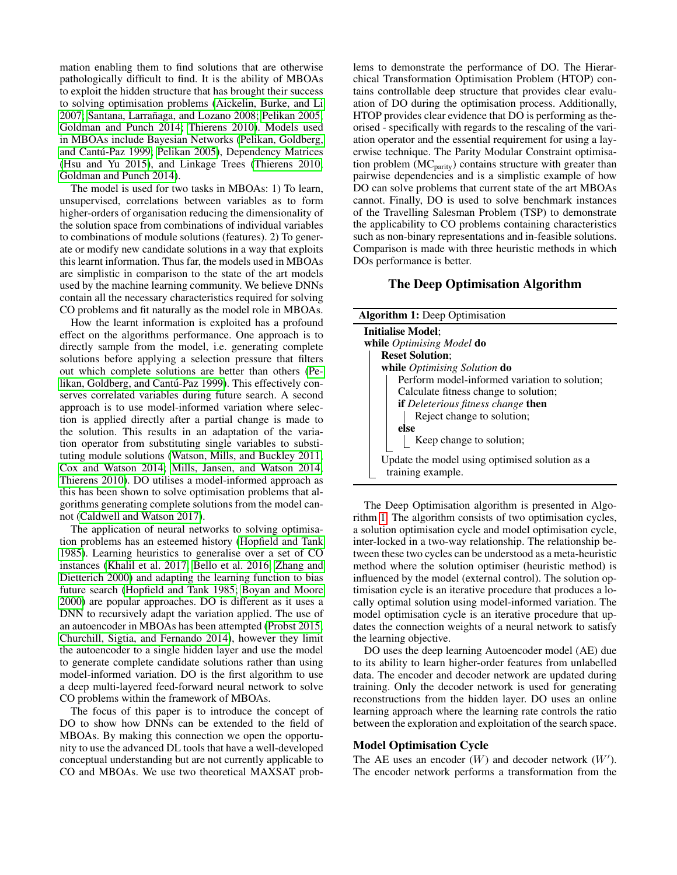mation enabling them to find solutions that are otherwise pathologically difficult to find. It is the ability of MBOAs to exploit the hidden structure that has brought their success to solving optimisation problems [\(Aickelin, Burke, and Li](#page-6-0) [2007;](#page-6-0) Santana, Larrañaga, and Lozano 2008; [Pelikan 2005;](#page-7-6) [Goldman and Punch 2014;](#page-7-7) [Thierens 2010\)](#page-7-8). Models used in MBOAs include Bayesian Networks [\(Pelikan, Goldberg,](#page-7-9) and Cantú-Paz 1999; [Pelikan 2005\)](#page-7-6), Dependency Matrices [\(Hsu and Yu 2015\)](#page-7-10), and Linkage Trees [\(Thierens 2010;](#page-7-8) [Goldman and Punch 2014\)](#page-7-7).

The model is used for two tasks in MBOAs: 1) To learn, unsupervised, correlations between variables as to form higher-orders of organisation reducing the dimensionality of the solution space from combinations of individual variables to combinations of module solutions (features). 2) To generate or modify new candidate solutions in a way that exploits this learnt information. Thus far, the models used in MBOAs are simplistic in comparison to the state of the art models used by the machine learning community. We believe DNNs contain all the necessary characteristics required for solving CO problems and fit naturally as the model role in MBOAs.

How the learnt information is exploited has a profound effect on the algorithms performance. One approach is to directly sample from the model, i.e. generating complete solutions before applying a selection pressure that filters out which complete solutions are better than others [\(Pe](#page-7-9)likan, Goldberg, and Cantú-Paz 1999). This effectively conserves correlated variables during future search. A second approach is to use model-informed variation where selection is applied directly after a partial change is made to the solution. This results in an adaptation of the variation operator from substituting single variables to substituting module solutions [\(Watson, Mills, and Buckley 2011;](#page-7-11) [Cox and Watson 2014;](#page-7-12) [Mills, Jansen, and Watson 2014;](#page-7-13) [Thierens 2010\)](#page-7-8). DO utilises a model-informed approach as this has been shown to solve optimisation problems that algorithms generating complete solutions from the model cannot [\(Caldwell and Watson 2017\)](#page-7-14).

The application of neural networks to solving optimisation problems has an esteemed history [\(Hopfield and Tank](#page-7-15) [1985\)](#page-7-15). Learning heuristics to generalise over a set of CO instances [\(Khalil et al. 2017;](#page-7-16) [Bello et al. 2016;](#page-7-17) [Zhang and](#page-7-18) [Dietterich 2000\)](#page-7-18) and adapting the learning function to bias future search [\(Hopfield and Tank 1985;](#page-7-15) [Boyan and Moore](#page-7-19) [2000\)](#page-7-19) are popular approaches. DO is different as it uses a DNN to recursively adapt the variation applied. The use of an autoencoder in MBOAs has been attempted [\(Probst 2015;](#page-7-20) [Churchill, Sigtia, and Fernando 2014\)](#page-7-21), however they limit the autoencoder to a single hidden layer and use the model to generate complete candidate solutions rather than using model-informed variation. DO is the first algorithm to use a deep multi-layered feed-forward neural network to solve CO problems within the framework of MBOAs.

The focus of this paper is to introduce the concept of DO to show how DNNs can be extended to the field of MBOAs. By making this connection we open the opportunity to use the advanced DL tools that have a well-developed conceptual understanding but are not currently applicable to CO and MBOAs. We use two theoretical MAXSAT problems to demonstrate the performance of DO. The Hierarchical Transformation Optimisation Problem (HTOP) contains controllable deep structure that provides clear evaluation of DO during the optimisation process. Additionally, HTOP provides clear evidence that DO is performing as theorised - specifically with regards to the rescaling of the variation operator and the essential requirement for using a layerwise technique. The Parity Modular Constraint optimisation problem  $(MC<sub>parity</sub>)$  contains structure with greater than pairwise dependencies and is a simplistic example of how DO can solve problems that current state of the art MBOAs cannot. Finally, DO is used to solve benchmark instances of the Travelling Salesman Problem (TSP) to demonstrate the applicability to CO problems containing characteristics such as non-binary representations and in-feasible solutions. Comparison is made with three heuristic methods in which DOs performance is better.

# The Deep Optimisation Algorithm

<span id="page-1-0"></span>

| <b>Algorithm 1:</b> Deep Optimisation                               |  |  |  |  |  |
|---------------------------------------------------------------------|--|--|--|--|--|
| <b>Initialise Model:</b>                                            |  |  |  |  |  |
| while <i>Optimising Model</i> do                                    |  |  |  |  |  |
| <b>Reset Solution;</b>                                              |  |  |  |  |  |
| while Optimising Solution do                                        |  |  |  |  |  |
| Perform model-informed variation to solution;                       |  |  |  |  |  |
| Calculate fitness change to solution;                               |  |  |  |  |  |
| <b>if</b> Deleterious fitness change <b>then</b>                    |  |  |  |  |  |
| Reject change to solution;                                          |  |  |  |  |  |
| else                                                                |  |  |  |  |  |
| Keep change to solution;                                            |  |  |  |  |  |
| Update the model using optimised solution as a<br>training example. |  |  |  |  |  |

The Deep Optimisation algorithm is presented in Algorithm [1.](#page-1-0) The algorithm consists of two optimisation cycles, a solution optimisation cycle and model optimisation cycle, inter-locked in a two-way relationship. The relationship between these two cycles can be understood as a meta-heuristic method where the solution optimiser (heuristic method) is influenced by the model (external control). The solution optimisation cycle is an iterative procedure that produces a locally optimal solution using model-informed variation. The model optimisation cycle is an iterative procedure that updates the connection weights of a neural network to satisfy the learning objective.

DO uses the deep learning Autoencoder model (AE) due to its ability to learn higher-order features from unlabelled data. The encoder and decoder network are updated during training. Only the decoder network is used for generating reconstructions from the hidden layer. DO uses an online learning approach where the learning rate controls the ratio between the exploration and exploitation of the search space.

### Model Optimisation Cycle

The AE uses an encoder  $(W)$  and decoder network  $(W')$ . The encoder network performs a transformation from the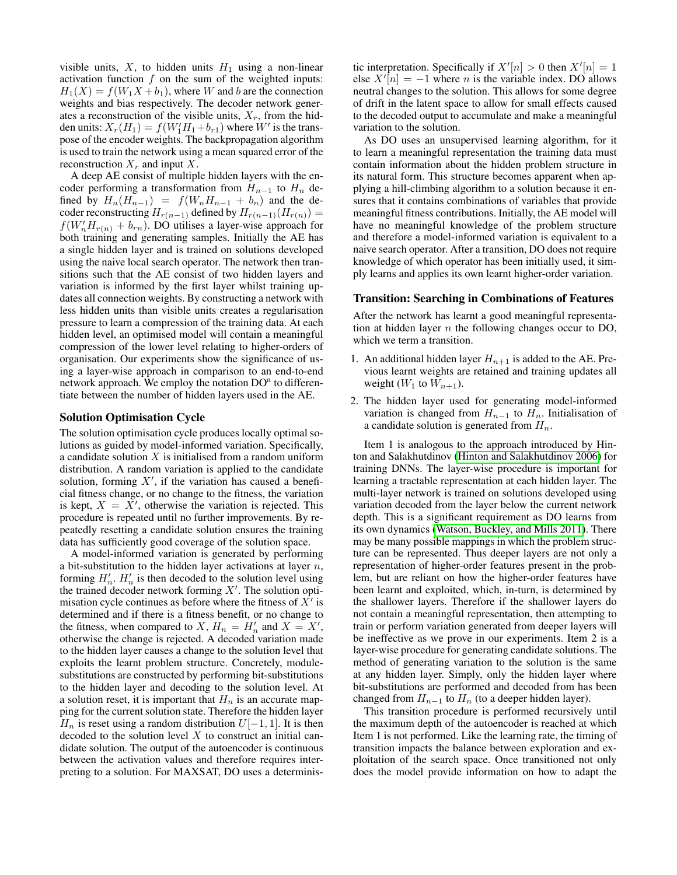visible units,  $X$ , to hidden units  $H_1$  using a non-linear activation function  $f$  on the sum of the weighted inputs:  $H_1(X) = f(W_1X + b_1)$ , where W and b are the connection weights and bias respectively. The decoder network generates a reconstruction of the visible units,  $X_r$ , from the hidden units:  $X_r(H_1) = f(W_1'H_1+b_{r1})$  where W' is the transpose of the encoder weights. The backpropagation algorithm is used to train the network using a mean squared error of the reconstruction  $X_r$  and input X.

A deep AE consist of multiple hidden layers with the encoder performing a transformation from  $H_{n-1}$  to  $H_n$  defined by  $H_n(H_{n-1}) = f(W_n H_{n-1} + b_n)$  and the decoder reconstructing  $H_{r(n-1)}$  defined by  $H_{r(n-1)}(H_{r(n)}) =$  $f(W_n' H_{r(n)} + b_{rn})$ . DO utilises a layer-wise approach for both training and generating samples. Initially the AE has a single hidden layer and is trained on solutions developed using the naive local search operator. The network then transitions such that the AE consist of two hidden layers and variation is informed by the first layer whilst training updates all connection weights. By constructing a network with less hidden units than visible units creates a regularisation pressure to learn a compression of the training data. At each hidden level, an optimised model will contain a meaningful compression of the lower level relating to higher-orders of organisation. Our experiments show the significance of using a layer-wise approach in comparison to an end-to-end network approach. We employ the notation DO<sup>n</sup> to differentiate between the number of hidden layers used in the AE.

### Solution Optimisation Cycle

The solution optimisation cycle produces locally optimal solutions as guided by model-informed variation. Specifically, a candidate solution  $X$  is initialised from a random uniform distribution. A random variation is applied to the candidate solution, forming  $X'$ , if the variation has caused a beneficial fitness change, or no change to the fitness, the variation is kept,  $X = \overline{X}'$ , otherwise the variation is rejected. This procedure is repeated until no further improvements. By repeatedly resetting a candidate solution ensures the training data has sufficiently good coverage of the solution space.

A model-informed variation is generated by performing a bit-substitution to the hidden layer activations at layer  $n$ , forming  $H'_n$ .  $H'_n$  is then decoded to the solution level using the trained decoder network forming  $X'$ . The solution optimisation cycle continues as before where the fitness of  $\overline{X}^i$  is determined and if there is a fitness benefit, or no change to the fitness, when compared to X,  $H_n = H'_n$  and  $X = X'$ , otherwise the change is rejected. A decoded variation made to the hidden layer causes a change to the solution level that exploits the learnt problem structure. Concretely, modulesubstitutions are constructed by performing bit-substitutions to the hidden layer and decoding to the solution level. At a solution reset, it is important that  $H_n$  is an accurate mapping for the current solution state. Therefore the hidden layer  $H_n$  is reset using a random distribution  $U[-1, 1]$ . It is then decoded to the solution level  $X$  to construct an initial candidate solution. The output of the autoencoder is continuous between the activation values and therefore requires interpreting to a solution. For MAXSAT, DO uses a determinis-

tic interpretation. Specifically if  $X'[n] > 0$  then  $X'[n] = 1$ else  $X^{i}[n] = -1$  where n is the variable index. DO allows neutral changes to the solution. This allows for some degree of drift in the latent space to allow for small effects caused to the decoded output to accumulate and make a meaningful variation to the solution.

As DO uses an unsupervised learning algorithm, for it to learn a meaningful representation the training data must contain information about the hidden problem structure in its natural form. This structure becomes apparent when applying a hill-climbing algorithm to a solution because it ensures that it contains combinations of variables that provide meaningful fitness contributions. Initially, the AE model will have no meaningful knowledge of the problem structure and therefore a model-informed variation is equivalent to a naive search operator. After a transition, DO does not require knowledge of which operator has been initially used, it simply learns and applies its own learnt higher-order variation.

## Transition: Searching in Combinations of Features

After the network has learnt a good meaningful representation at hidden layer  $n$  the following changes occur to DO, which we term a transition.

- 1. An additional hidden layer  $H_{n+1}$  is added to the AE. Previous learnt weights are retained and training updates all weight  $(W_1$  to  $W_{n+1}$ ).
- 2. The hidden layer used for generating model-informed variation is changed from  $H_{n-1}$  to  $H_n$ . Initialisation of a candidate solution is generated from  $H_n$ .

Item 1 is analogous to the approach introduced by Hinton and Salakhutdinov [\(Hinton and Salakhutdinov 2006\)](#page-7-22) for training DNNs. The layer-wise procedure is important for learning a tractable representation at each hidden layer. The multi-layer network is trained on solutions developed using variation decoded from the layer below the current network depth. This is a significant requirement as DO learns from its own dynamics [\(Watson, Buckley, and Mills 2011\)](#page-7-23). There may be many possible mappings in which the problem structure can be represented. Thus deeper layers are not only a representation of higher-order features present in the problem, but are reliant on how the higher-order features have been learnt and exploited, which, in-turn, is determined by the shallower layers. Therefore if the shallower layers do not contain a meaningful representation, then attempting to train or perform variation generated from deeper layers will be ineffective as we prove in our experiments. Item 2 is a layer-wise procedure for generating candidate solutions. The method of generating variation to the solution is the same at any hidden layer. Simply, only the hidden layer where bit-substitutions are performed and decoded from has been changed from  $H_{n-1}$  to  $H_n$  (to a deeper hidden layer).

This transition procedure is performed recursively until the maximum depth of the autoencoder is reached at which Item 1 is not performed. Like the learning rate, the timing of transition impacts the balance between exploration and exploitation of the search space. Once transitioned not only does the model provide information on how to adapt the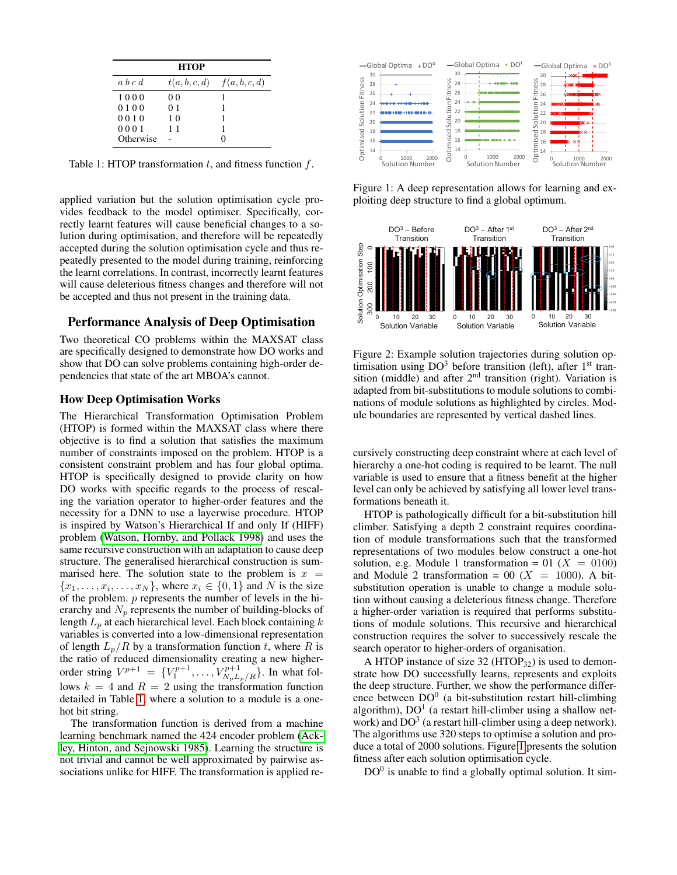| <b>HTOP</b> |                |                                 |  |  |  |  |
|-------------|----------------|---------------------------------|--|--|--|--|
| a, b, c, d  |                | $t(a, b, c, d)$ $f(a, b, c, d)$ |  |  |  |  |
| 1000        | 00             |                                 |  |  |  |  |
| 0100        | 0 <sub>1</sub> |                                 |  |  |  |  |
| 0010        | 10             |                                 |  |  |  |  |
| 0001        | 11             |                                 |  |  |  |  |
| Otherwise   |                |                                 |  |  |  |  |

<span id="page-3-0"></span>Table 1: HTOP transformation  $t$ , and fitness function  $f$ .

applied variation but the solution optimisation cycle provides feedback to the model optimiser. Specifically, correctly learnt features will cause beneficial changes to a solution during optimisation, and therefore will be repeatedly accepted during the solution optimisation cycle and thus repeatedly presented to the model during training, reinforcing the learnt correlations. In contrast, incorrectly learnt features will cause deleterious fitness changes and therefore will not be accepted and thus not present in the training data.

# Performance Analysis of Deep Optimisation

Two theoretical CO problems within the MAXSAT class are specifically designed to demonstrate how DO works and show that DO can solve problems containing high-order dependencies that state of the art MBOA's cannot.

# How Deep Optimisation Works

The Hierarchical Transformation Optimisation Problem (HTOP) is formed within the MAXSAT class where there objective is to find a solution that satisfies the maximum number of constraints imposed on the problem. HTOP is a consistent constraint problem and has four global optima. HTOP is specifically designed to provide clarity on how DO works with specific regards to the process of rescaling the variation operator to higher-order features and the necessity for a DNN to use a layerwise procedure. HTOP is inspired by Watson's Hierarchical If and only If (HIFF) problem [\(Watson, Hornby, and Pollack 1998\)](#page-7-24) and uses the same recursive construction with an adaptation to cause deep structure. The generalised hierarchical construction is summarised here. The solution state to the problem is  $x =$  ${x_1, \ldots, x_i, \ldots, x_N}$ , where  $x_i \in \{0, 1\}$  and N is the size of the problem. p represents the number of levels in the hierarchy and  $N_p$  represents the number of building-blocks of length  $L_p$  at each hierarchical level. Each block containing  $k$ variables is converted into a low-dimensional representation of length  $L_p/R$  by a transformation function t, where R is the ratio of reduced dimensionality creating a new higherorder string  $V^{p+1} = \{V_1^{p+1}, \ldots, V_{N_p L_p / R}^{p+1}\}$ . In what follows  $k = 4$  and  $R = 2$  using the transformation function detailed in Table [1,](#page-3-0) where a solution to a module is a onehot bit string.

The transformation function is derived from a machine learning benchmark named the 424 encoder problem [\(Ack](#page-6-1)[ley, Hinton, and Sejnowski 1985\)](#page-6-1). Learning the structure is not trivial and cannot be well approximated by pairwise associations unlike for HIFF. The transformation is applied re-



<span id="page-3-1"></span>Figure 1: A deep representation allows for learning and exploiting deep structure to find a global optimum.



<span id="page-3-2"></span>Figure 2: Example solution trajectories during solution optimisation using  $DO<sup>3</sup>$  before transition (left), after  $1<sup>st</sup>$  transition (middle) and after  $2<sup>nd</sup>$  transition (right). Variation is adapted from bit-substitutions to module solutions to combinations of module solutions as highlighted by circles. Module boundaries are represented by vertical dashed lines.

cursively constructing deep constraint where at each level of hierarchy a one-hot coding is required to be learnt. The null variable is used to ensure that a fitness benefit at the higher level can only be achieved by satisfying all lower level transformations beneath it.

HTOP is pathologically difficult for a bit-substitution hill climber. Satisfying a depth 2 constraint requires coordination of module transformations such that the transformed representations of two modules below construct a one-hot solution, e.g. Module 1 transformation = 01 ( $X = 0100$ ) and Module 2 transformation = 00 ( $X = 1000$ ). A bitsubstitution operation is unable to change a module solution without causing a deleterious fitness change. Therefore a higher-order variation is required that performs substitutions of module solutions. This recursive and hierarchical construction requires the solver to successively rescale the search operator to higher-orders of organisation.

A HTOP instance of size 32 (HTOP $_{32}$ ) is used to demonstrate how DO successfully learns, represents and exploits the deep structure. Further, we show the performance difference between  $DO^{0}$  (a bit-substitution restart hill-climbing algorithm),  $DO<sup>1</sup>$  (a restart hill-climber using a shallow network) and  $DO<sup>3</sup>$  (a restart hill-climber using a deep network). The algorithms use 320 steps to optimise a solution and produce a total of 2000 solutions. Figure [1](#page-3-1) presents the solution fitness after each solution optimisation cycle.

 $DO<sup>0</sup>$  is unable to find a globally optimal solution. It sim-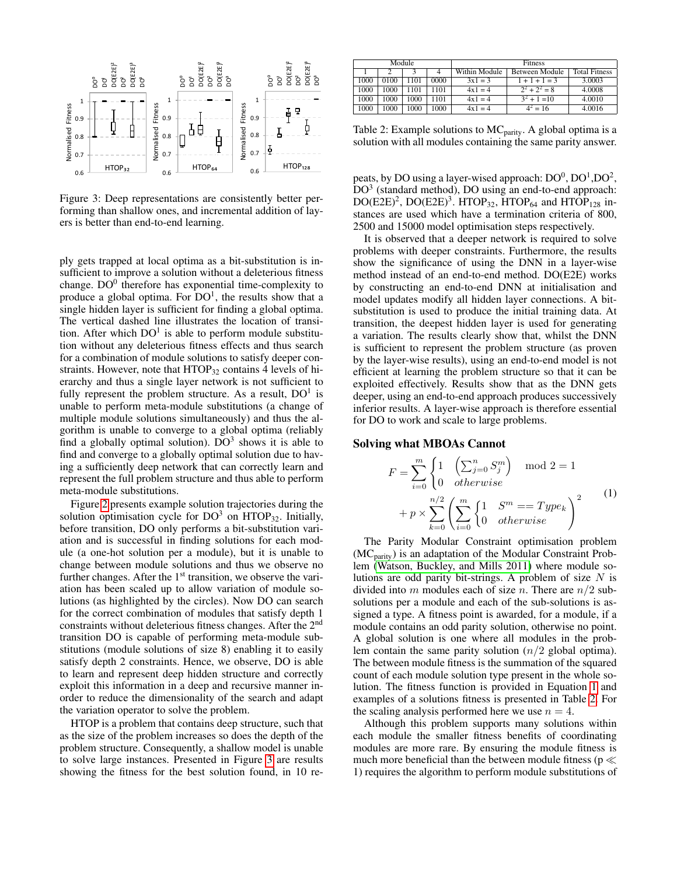

<span id="page-4-0"></span>Figure 3: Deep representations are consistently better performing than shallow ones, and incremental addition of layers is better than end-to-end learning.

ply gets trapped at local optima as a bit-substitution is insufficient to improve a solution without a deleterious fitness change.  $DO^{0}$  therefore has exponential time-complexity to produce a global optima. For  $DO<sup>1</sup>$ , the results show that a single hidden layer is sufficient for finding a global optima. The vertical dashed line illustrates the location of transition. After which  $DO<sup>1</sup>$  is able to perform module substitution without any deleterious fitness effects and thus search for a combination of module solutions to satisfy deeper constraints. However, note that  $HTOP_{32}$  contains 4 levels of hierarchy and thus a single layer network is not sufficient to fully represent the problem structure. As a result,  $DO<sup>1</sup>$  is unable to perform meta-module substitutions (a change of multiple module solutions simultaneously) and thus the algorithm is unable to converge to a global optima (reliably find a globally optimal solution).  $DO<sup>3</sup>$  shows it is able to find and converge to a globally optimal solution due to having a sufficiently deep network that can correctly learn and represent the full problem structure and thus able to perform meta-module substitutions.

Figure [2](#page-3-2) presents example solution trajectories during the solution optimisation cycle for  $DO<sup>3</sup>$  on HTOP<sub>32</sub>. Initially, before transition, DO only performs a bit-substitution variation and is successful in finding solutions for each module (a one-hot solution per a module), but it is unable to change between module solutions and thus we observe no further changes. After the  $1<sup>st</sup>$  transition, we observe the variation has been scaled up to allow variation of module solutions (as highlighted by the circles). Now DO can search for the correct combination of modules that satisfy depth 1 constraints without deleterious fitness changes. After the 2<sup>nd</sup> transition DO is capable of performing meta-module substitutions (module solutions of size 8) enabling it to easily satisfy depth 2 constraints. Hence, we observe, DO is able to learn and represent deep hidden structure and correctly exploit this information in a deep and recursive manner inorder to reduce the dimensionality of the search and adapt the variation operator to solve the problem.

HTOP is a problem that contains deep structure, such that as the size of the problem increases so does the depth of the problem structure. Consequently, a shallow model is unable to solve large instances. Presented in Figure [3](#page-4-0) are results showing the fitness for the best solution found, in 10 re-

| Module |      |      |      |               | <b>Fitness</b> |                      |        |  |
|--------|------|------|------|---------------|----------------|----------------------|--------|--|
|        |      | 4    |      | Within Module | Between Module | <b>Total Fitness</b> |        |  |
|        | 1000 | 0100 | 1101 | 0000          | $3x1 = 3$      | $1 + 1 + 1 = 3$      | 3.0003 |  |
|        | 1000 | 1000 | 1101 | 1101          | $4x1 = 4$      | $2^2 + 2^2 = 8$      | 4.0008 |  |
|        | 1000 | 1000 | 1000 | 1101          | $4x1 = 4$      | $3^2 + 1 = 10$       | 4.0010 |  |
|        | 1000 | 1000 | 1000 | 1000          | $4x1 = 4$      | $4^2 = 16$           | 4.0016 |  |

<span id="page-4-2"></span>Table 2: Example solutions to  $MC_{parity}$ . A global optima is a solution with all modules containing the same parity answer.

peats, by DO using a layer-wised approach:  $DO^0$ ,  $DO^1$ ,  $DO^2$ , DO<sup>3</sup> (standard method), DO using an end-to-end approach:  $DO(E2E)^2$ ,  $DO(E2E)^3$ . HTOP<sub>32</sub>, HTOP<sub>64</sub> and HTOP<sub>128</sub> instances are used which have a termination criteria of 800, 2500 and 15000 model optimisation steps respectively.

It is observed that a deeper network is required to solve problems with deeper constraints. Furthermore, the results show the significance of using the DNN in a layer-wise method instead of an end-to-end method. DO(E2E) works by constructing an end-to-end DNN at initialisation and model updates modify all hidden layer connections. A bitsubstitution is used to produce the initial training data. At transition, the deepest hidden layer is used for generating a variation. The results clearly show that, whilst the DNN is sufficient to represent the problem structure (as proven by the layer-wise results), using an end-to-end model is not efficient at learning the problem structure so that it can be exploited effectively. Results show that as the DNN gets deeper, using an end-to-end approach produces successively inferior results. A layer-wise approach is therefore essential for DO to work and scale to large problems.

#### Solving what MBOAs Cannot

<span id="page-4-1"></span>
$$
F = \sum_{i=0}^{m} \begin{cases} 1 & \left(\sum_{j=0}^{n} S_j^m\right) \mod 2 = 1\\ 0 & otherwise \end{cases} + p \times \sum_{k=0}^{n/2} \left(\sum_{i=0}^{m} \begin{cases} 1 & S^m == Type_k\\ 0 & otherwise \end{cases}\right)^2 \tag{1}
$$

The Parity Modular Constraint optimisation problem (MC<sub>parity</sub>) is an adaptation of the Modular Constraint Problem [\(Watson, Buckley, and Mills 2011\)](#page-7-23) where module solutions are odd parity bit-strings. A problem of size  $N$  is divided into m modules each of size n. There are  $n/2$  subsolutions per a module and each of the sub-solutions is assigned a type. A fitness point is awarded, for a module, if a module contains an odd parity solution, otherwise no point. A global solution is one where all modules in the problem contain the same parity solution  $(n/2)$  global optima). The between module fitness is the summation of the squared count of each module solution type present in the whole solution. The fitness function is provided in Equation [1](#page-4-1) and examples of a solutions fitness is presented in Table [2.](#page-4-2) For the scaling analysis performed here we use  $n = 4$ .

Although this problem supports many solutions within each module the smaller fitness benefits of coordinating modules are more rare. By ensuring the module fitness is much more beneficial than the between module fitness ( $p \ll$ 1) requires the algorithm to perform module substitutions of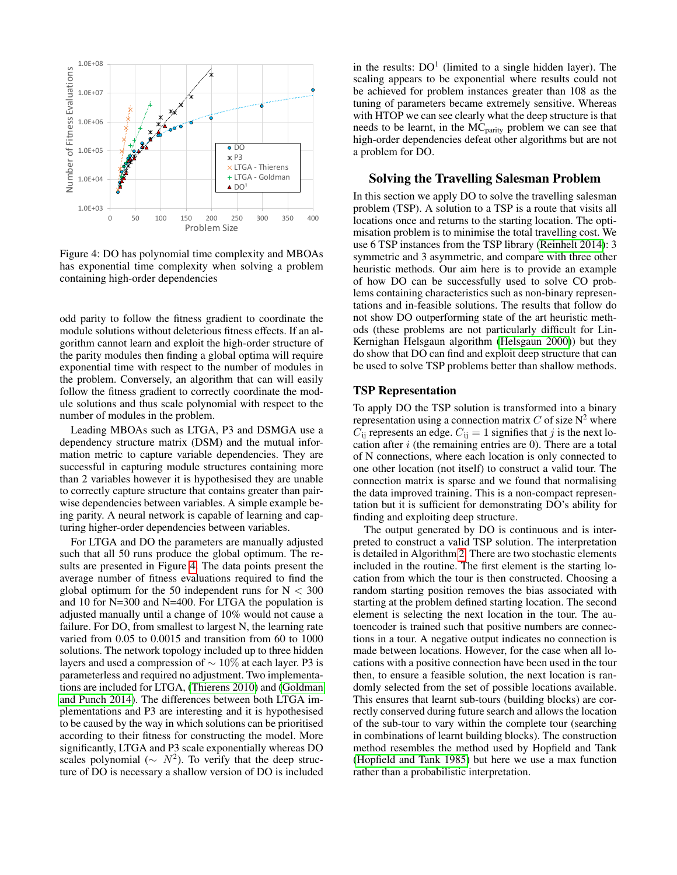

<span id="page-5-0"></span>Figure 4: DO has polynomial time complexity and MBOAs has exponential time complexity when solving a problem containing high-order dependencies

odd parity to follow the fitness gradient to coordinate the module solutions without deleterious fitness effects. If an algorithm cannot learn and exploit the high-order structure of the parity modules then finding a global optima will require exponential time with respect to the number of modules in the problem. Conversely, an algorithm that can will easily follow the fitness gradient to correctly coordinate the module solutions and thus scale polynomial with respect to the number of modules in the problem.

Leading MBOAs such as LTGA, P3 and DSMGA use a dependency structure matrix (DSM) and the mutual information metric to capture variable dependencies. They are successful in capturing module structures containing more than 2 variables however it is hypothesised they are unable to correctly capture structure that contains greater than pairwise dependencies between variables. A simple example being parity. A neural network is capable of learning and capturing higher-order dependencies between variables.

For LTGA and DO the parameters are manually adjusted such that all 50 runs produce the global optimum. The results are presented in Figure [4.](#page-5-0) The data points present the average number of fitness evaluations required to find the global optimum for the 50 independent runs for  $N < 300$ and 10 for N=300 and N=400. For LTGA the population is adjusted manually until a change of 10% would not cause a failure. For DO, from smallest to largest N, the learning rate varied from 0.05 to 0.0015 and transition from 60 to 1000 solutions. The network topology included up to three hidden layers and used a compression of ∼ 10% at each layer. P3 is parameterless and required no adjustment. Two implementations are included for LTGA, [\(Thierens 2010\)](#page-7-8) and [\(Goldman](#page-7-7) [and Punch 2014\)](#page-7-7). The differences between both LTGA implementations and P3 are interesting and it is hypothesised to be caused by the way in which solutions can be prioritised according to their fitness for constructing the model. More significantly, LTGA and P3 scale exponentially whereas DO scales polynomial ( $\sim N^2$ ). To verify that the deep structure of DO is necessary a shallow version of DO is included

in the results:  $DO<sup>1</sup>$  (limited to a single hidden layer). The scaling appears to be exponential where results could not be achieved for problem instances greater than 108 as the tuning of parameters became extremely sensitive. Whereas with HTOP we can see clearly what the deep structure is that needs to be learnt, in the  $\overrightarrow{MC}_{parity}$  problem we can see that high-order dependencies defeat other algorithms but are not a problem for DO.

## Solving the Travelling Salesman Problem

In this section we apply DO to solve the travelling salesman problem (TSP). A solution to a TSP is a route that visits all locations once and returns to the starting location. The optimisation problem is to minimise the total travelling cost. We use 6 TSP instances from the TSP library [\(Reinhelt 2014\)](#page-7-25): 3 symmetric and 3 asymmetric, and compare with three other heuristic methods. Our aim here is to provide an example of how DO can be successfully used to solve CO problems containing characteristics such as non-binary representations and in-feasible solutions. The results that follow do not show DO outperforming state of the art heuristic methods (these problems are not particularly difficult for Lin-Kernighan Helsgaun algorithm [\(Helsgaun 2000\)](#page-7-26)) but they do show that DO can find and exploit deep structure that can be used to solve TSP problems better than shallow methods.

### TSP Representation

To apply DO the TSP solution is transformed into a binary representation using a connection matrix  $C$  of size  $N^2$  where  $C_{ii}$  represents an edge.  $C_{ii} = 1$  signifies that j is the next location after  $i$  (the remaining entries are 0). There are a total of N connections, where each location is only connected to one other location (not itself) to construct a valid tour. The connection matrix is sparse and we found that normalising the data improved training. This is a non-compact representation but it is sufficient for demonstrating DO's ability for finding and exploiting deep structure.

The output generated by DO is continuous and is interpreted to construct a valid TSP solution. The interpretation is detailed in Algorithm [2.](#page-6-2) There are two stochastic elements included in the routine. The first element is the starting location from which the tour is then constructed. Choosing a random starting position removes the bias associated with starting at the problem defined starting location. The second element is selecting the next location in the tour. The autoencoder is trained such that positive numbers are connections in a tour. A negative output indicates no connection is made between locations. However, for the case when all locations with a positive connection have been used in the tour then, to ensure a feasible solution, the next location is randomly selected from the set of possible locations available. This ensures that learnt sub-tours (building blocks) are correctly conserved during future search and allows the location of the sub-tour to vary within the complete tour (searching in combinations of learnt building blocks). The construction method resembles the method used by Hopfield and Tank [\(Hopfield and Tank 1985\)](#page-7-15) but here we use a max function rather than a probabilistic interpretation.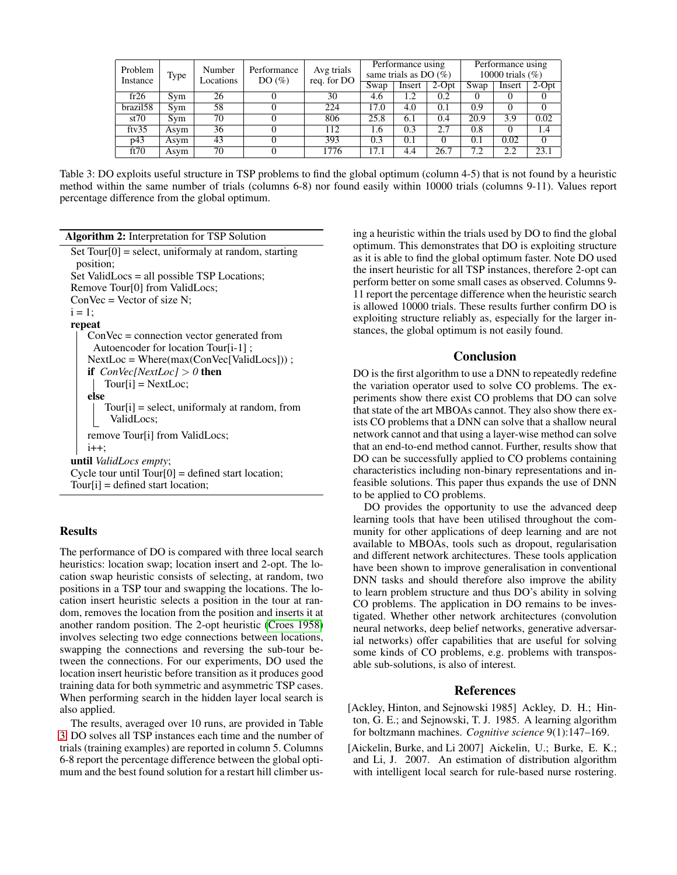| Problem     | Type<br>Instance | Number<br>Locations | Performance<br>DO(%) | Avg trials<br>req. for DO | Performance using<br>same trials as DO $(\%)$ |        |          | Performance using<br>10000 trials $(\% )$ |        |          |
|-------------|------------------|---------------------|----------------------|---------------------------|-----------------------------------------------|--------|----------|-------------------------------------------|--------|----------|
|             |                  |                     |                      |                           | Swap                                          | Insert | $2$ -Opt | Swap                                      | Insert | $2$ -Opt |
| fr26        | Svm              | 26                  |                      | 30                        | 4.6                                           | 1.2    | 0.2      |                                           | 0      |          |
| brazil58    | Svm              | 58                  |                      | 224                       | 17.0                                          | 4.0    | 0.1      | 0.9                                       |        |          |
| st70        | Sym              | 70                  |                      | 806                       | 25.8                                          | 6.1    | 0.4      | 20.9                                      | 3.9    | 0.02     |
| $f$ tv $35$ | Asym             | 36                  |                      | 112                       | 1.6                                           | 0.3    | 2.7      | 0.8                                       |        | 1.4      |
| p43         | Asym             | 43                  |                      | 393                       | 0.3                                           | 0.1    | 0        | 0.1                                       | 0.02   | $\Omega$ |
| ft70        | Asym             | 70                  |                      | 1776                      | 17.1                                          | 4.4    | 26.7     | 7.2                                       | 2.2    | 23.1     |

<span id="page-6-3"></span>Table 3: DO exploits useful structure in TSP problems to find the global optimum (column 4-5) that is not found by a heuristic method within the same number of trials (columns 6-8) nor found easily within 10000 trials (columns 9-11). Values report percentage difference from the global optimum.

Algorithm 2: Interpretation for TSP Solution Set  $Tour[0] = select$ , uniformaly at random, starting

<span id="page-6-2"></span>position; Set ValidLocs = all possible TSP Locations; Remove Tour[0] from ValidLocs;  $ConVec = Vector of size N$ ;  $i = 1$ : repeat ConVec = connection vector generated from Autoencoder for location Tour[i-1] ; NextLoc = Where(max(ConVec[ValidLocs])) ; if  $ConVec[NextLoc] > 0$  then  $Tour[i] = NextLoc;$ else Tour[i] = select, uniformaly at random, from ValidLocs; remove Tour[i] from ValidLocs;  $i++;$ until *ValidLocs empty*; Cycle tour until  $Tour[0] = defined start location;$ Tour[i] = defined start location;

# **Results**

The performance of DO is compared with three local search heuristics: location swap; location insert and 2-opt. The location swap heuristic consists of selecting, at random, two positions in a TSP tour and swapping the locations. The location insert heuristic selects a position in the tour at random, removes the location from the position and inserts it at another random position. The 2-opt heuristic [\(Croes 1958\)](#page-7-27) involves selecting two edge connections between locations, swapping the connections and reversing the sub-tour between the connections. For our experiments, DO used the location insert heuristic before transition as it produces good training data for both symmetric and asymmetric TSP cases. When performing search in the hidden layer local search is also applied.

The results, averaged over 10 runs, are provided in Table [3.](#page-6-3) DO solves all TSP instances each time and the number of trials (training examples) are reported in column 5. Columns 6-8 report the percentage difference between the global optimum and the best found solution for a restart hill climber using a heuristic within the trials used by DO to find the global optimum. This demonstrates that DO is exploiting structure as it is able to find the global optimum faster. Note DO used the insert heuristic for all TSP instances, therefore 2-opt can perform better on some small cases as observed. Columns 9- 11 report the percentage difference when the heuristic search is allowed 10000 trials. These results further confirm DO is exploiting structure reliably as, especially for the larger instances, the global optimum is not easily found.

## Conclusion

DO is the first algorithm to use a DNN to repeatedly redefine the variation operator used to solve CO problems. The experiments show there exist CO problems that DO can solve that state of the art MBOAs cannot. They also show there exists CO problems that a DNN can solve that a shallow neural network cannot and that using a layer-wise method can solve that an end-to-end method cannot. Further, results show that DO can be successfully applied to CO problems containing characteristics including non-binary representations and infeasible solutions. This paper thus expands the use of DNN to be applied to CO problems.

DO provides the opportunity to use the advanced deep learning tools that have been utilised throughout the community for other applications of deep learning and are not available to MBOAs, tools such as dropout, regularisation and different network architectures. These tools application have been shown to improve generalisation in conventional DNN tasks and should therefore also improve the ability to learn problem structure and thus DO's ability in solving CO problems. The application in DO remains to be investigated. Whether other network architectures (convolution neural networks, deep belief networks, generative adversarial networks) offer capabilities that are useful for solving some kinds of CO problems, e.g. problems with transposable sub-solutions, is also of interest.

# References

- <span id="page-6-1"></span>[Ackley, Hinton, and Sejnowski 1985] Ackley, D. H.; Hinton, G. E.; and Sejnowski, T. J. 1985. A learning algorithm for boltzmann machines. *Cognitive science* 9(1):147–169.
- <span id="page-6-0"></span>[Aickelin, Burke, and Li 2007] Aickelin, U.; Burke, E. K.; and Li, J. 2007. An estimation of distribution algorithm with intelligent local search for rule-based nurse rostering.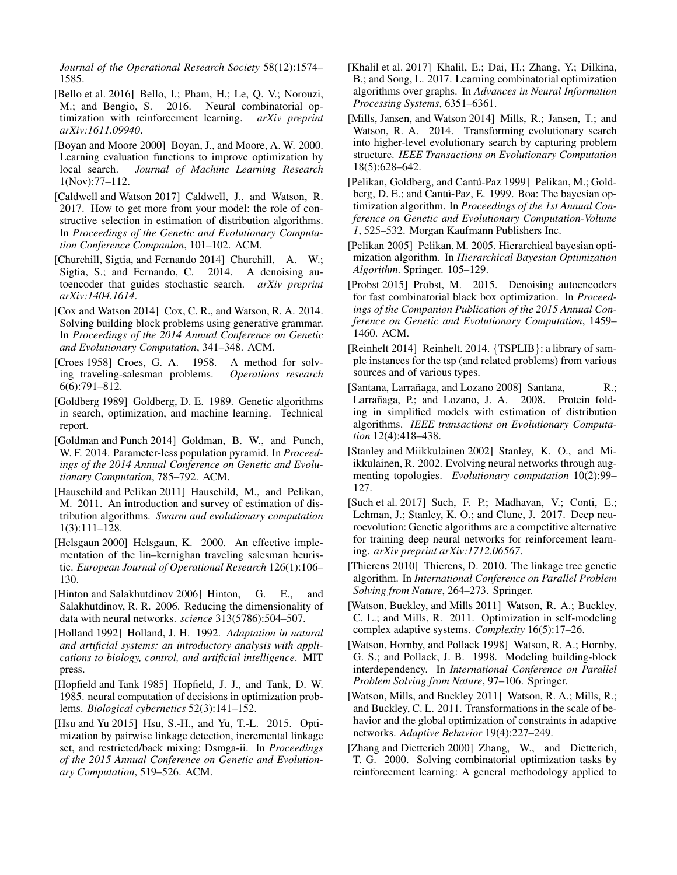*Journal of the Operational Research Society* 58(12):1574– 1585.

- <span id="page-7-17"></span>[Bello et al. 2016] Bello, I.; Pham, H.; Le, Q. V.; Norouzi, M.; and Bengio, S. 2016. Neural combinatorial optimization with reinforcement learning. *arXiv preprint arXiv:1611.09940*.
- <span id="page-7-19"></span>[Boyan and Moore 2000] Boyan, J., and Moore, A. W. 2000. Learning evaluation functions to improve optimization by local search. *Journal of Machine Learning Research* 1(Nov):77–112.
- <span id="page-7-14"></span>[Caldwell and Watson 2017] Caldwell, J., and Watson, R. 2017. How to get more from your model: the role of constructive selection in estimation of distribution algorithms. In *Proceedings of the Genetic and Evolutionary Computation Conference Companion*, 101–102. ACM.
- <span id="page-7-21"></span>[Churchill, Sigtia, and Fernando 2014] Churchill, A. W.; Sigtia, S.; and Fernando, C. 2014. A denoising autoencoder that guides stochastic search. *arXiv preprint arXiv:1404.1614*.
- <span id="page-7-12"></span>[Cox and Watson 2014] Cox, C. R., and Watson, R. A. 2014. Solving building block problems using generative grammar. In *Proceedings of the 2014 Annual Conference on Genetic and Evolutionary Computation*, 341–348. ACM.
- <span id="page-7-27"></span>[Croes 1958] Croes, G. A. 1958. A method for solving traveling-salesman problems. *Operations research* 6(6):791–812.
- <span id="page-7-0"></span>[Goldberg 1989] Goldberg, D. E. 1989. Genetic algorithms in search, optimization, and machine learning. Technical report.
- <span id="page-7-7"></span>[Goldman and Punch 2014] Goldman, B. W., and Punch, W. F. 2014. Parameter-less population pyramid. In *Proceedings of the 2014 Annual Conference on Genetic and Evolutionary Computation*, 785–792. ACM.
- <span id="page-7-4"></span>[Hauschild and Pelikan 2011] Hauschild, M., and Pelikan, M. 2011. An introduction and survey of estimation of distribution algorithms. *Swarm and evolutionary computation* 1(3):111–128.
- <span id="page-7-26"></span>[Helsgaun 2000] Helsgaun, K. 2000. An effective implementation of the lin–kernighan traveling salesman heuristic. *European Journal of Operational Research* 126(1):106– 130.
- <span id="page-7-22"></span>[Hinton and Salakhutdinov 2006] Hinton, G. E., and Salakhutdinov, R. R. 2006. Reducing the dimensionality of data with neural networks. *science* 313(5786):504–507.
- <span id="page-7-1"></span>[Holland 1992] Holland, J. H. 1992. *Adaptation in natural and artificial systems: an introductory analysis with applications to biology, control, and artificial intelligence*. MIT press.
- <span id="page-7-15"></span>[Hopfield and Tank 1985] Hopfield, J. J., and Tank, D. W. 1985. neural computation of decisions in optimization problems. *Biological cybernetics* 52(3):141–152.
- <span id="page-7-10"></span>[Hsu and Yu 2015] Hsu, S.-H., and Yu, T.-L. 2015. Optimization by pairwise linkage detection, incremental linkage set, and restricted/back mixing: Dsmga-ii. In *Proceedings of the 2015 Annual Conference on Genetic and Evolutionary Computation*, 519–526. ACM.
- <span id="page-7-16"></span>[Khalil et al. 2017] Khalil, E.; Dai, H.; Zhang, Y.; Dilkina, B.; and Song, L. 2017. Learning combinatorial optimization algorithms over graphs. In *Advances in Neural Information Processing Systems*, 6351–6361.
- <span id="page-7-13"></span>[Mills, Jansen, and Watson 2014] Mills, R.; Jansen, T.; and Watson, R. A. 2014. Transforming evolutionary search into higher-level evolutionary search by capturing problem structure. *IEEE Transactions on Evolutionary Computation* 18(5):628–642.
- <span id="page-7-9"></span>[Pelikan, Goldberg, and Cantú-Paz 1999] Pelikan, M.; Goldberg, D. E.; and Cantú-Paz, E. 1999. Boa: The bayesian optimization algorithm. In *Proceedings of the 1st Annual Conference on Genetic and Evolutionary Computation-Volume 1*, 525–532. Morgan Kaufmann Publishers Inc.
- <span id="page-7-6"></span>[Pelikan 2005] Pelikan, M. 2005. Hierarchical bayesian optimization algorithm. In *Hierarchical Bayesian Optimization Algorithm*. Springer. 105–129.
- <span id="page-7-20"></span>[Probst 2015] Probst, M. 2015. Denoising autoencoders for fast combinatorial black box optimization. In *Proceedings of the Companion Publication of the 2015 Annual Conference on Genetic and Evolutionary Computation*, 1459– 1460. ACM.
- <span id="page-7-25"></span>[Reinhelt 2014] Reinhelt. 2014. {TSPLIB}: a library of sample instances for the tsp (and related problems) from various sources and of various types.
- <span id="page-7-5"></span>[Santana, Larrañaga, and Lozano 2008] Santana, R.; Larrañaga, P.; and Lozano, J. A. 2008. Protein folding in simplified models with estimation of distribution algorithms. *IEEE transactions on Evolutionary Computation* 12(4):418–438.
- <span id="page-7-2"></span>[Stanley and Miikkulainen 2002] Stanley, K. O., and Miikkulainen, R. 2002. Evolving neural networks through augmenting topologies. *Evolutionary computation* 10(2):99– 127.
- <span id="page-7-3"></span>[Such et al. 2017] Such, F. P.; Madhavan, V.; Conti, E.; Lehman, J.; Stanley, K. O.; and Clune, J. 2017. Deep neuroevolution: Genetic algorithms are a competitive alternative for training deep neural networks for reinforcement learning. *arXiv preprint arXiv:1712.06567*.
- <span id="page-7-8"></span>[Thierens 2010] Thierens, D. 2010. The linkage tree genetic algorithm. In *International Conference on Parallel Problem Solving from Nature*, 264–273. Springer.
- <span id="page-7-23"></span>[Watson, Buckley, and Mills 2011] Watson, R. A.; Buckley, C. L.; and Mills, R. 2011. Optimization in self-modeling complex adaptive systems. *Complexity* 16(5):17–26.
- <span id="page-7-24"></span>[Watson, Hornby, and Pollack 1998] Watson, R. A.; Hornby, G. S.; and Pollack, J. B. 1998. Modeling building-block interdependency. In *International Conference on Parallel Problem Solving from Nature*, 97–106. Springer.
- <span id="page-7-11"></span>[Watson, Mills, and Buckley 2011] Watson, R. A.; Mills, R.; and Buckley, C. L. 2011. Transformations in the scale of behavior and the global optimization of constraints in adaptive networks. *Adaptive Behavior* 19(4):227–249.
- <span id="page-7-18"></span>[Zhang and Dietterich 2000] Zhang, W., and Dietterich, T. G. 2000. Solving combinatorial optimization tasks by reinforcement learning: A general methodology applied to